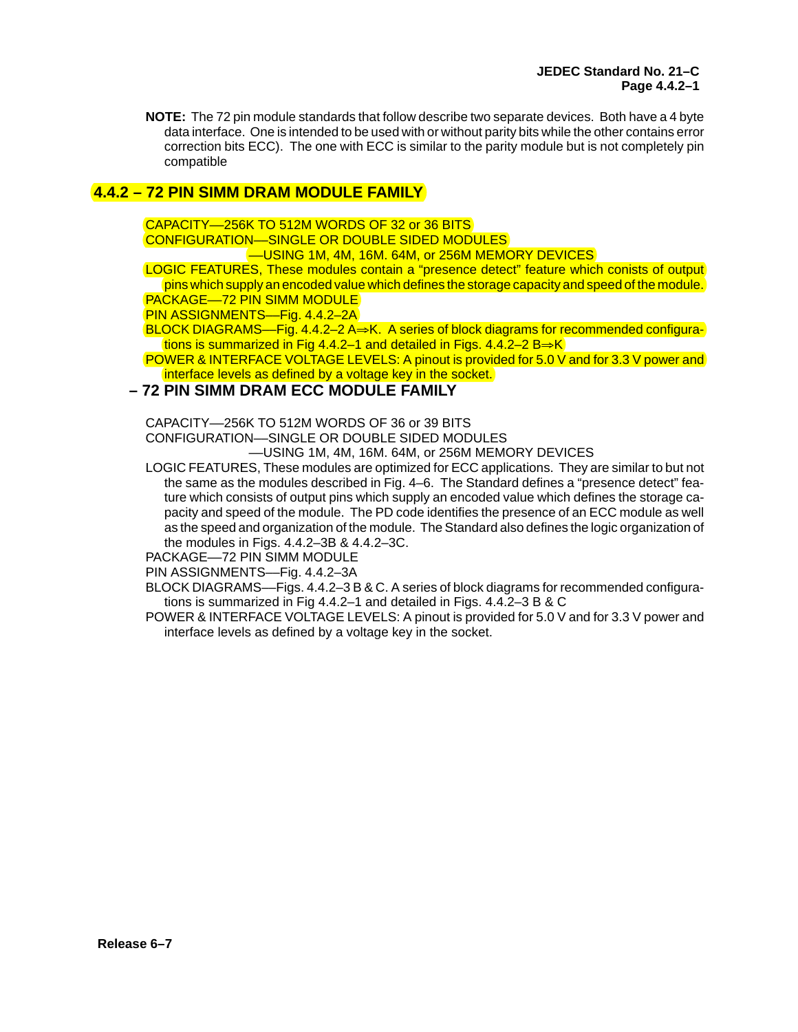**NOTE:** The 72 pin module standards that follow describe two separate devices. Both have a 4 byte data interface. One is intended to be used with or without parity bits while the other contains error correction bits ECC). The one with ECC is similar to the parity module but is not completely pin compatible

## **4.4.2 – 72 PIN SIMM DRAM MODULE FAMILY**

CAPACITY––256K TO 512M WORDS OF 32 or 36 BITS

CONFIGURATION––SINGLE OR DOUBLE SIDED MODULES

––USING 1M, 4M, 16M. 64M, or 256M MEMORY DEVICES

LOGIC FEATURES, These modules contain a "presence detect" feature which conists of output pins which supply an encoded value which defines the storage capacity and speed of the module. PACKAGE—72 PIN SIMM MODULE

PIN ASSIGNMENTS-Fig. 4.4.2-2A

BLOCK DIAGRAMS—Fig. 4.4.2–2 A $\rightarrow$ K. A series of block diagrams for recommended configurations is summarized in Fig 4.4.2–1 and detailed in Figs. 4.4.2–2  $B=K$ 

POWER & INTERFACE VOLTAGE LEVELS: A pinout is provided for 5.0 V and for 3.3 V power and interface levels as defined by a voltage key in the socket.

## **– 72 PIN SIMM DRAM ECC MODULE FAMILY**

CAPACITY––256K TO 512M WORDS OF 36 or 39 BITS

CONFIGURATION––SINGLE OR DOUBLE SIDED MODULES

––USING 1M, 4M, 16M. 64M, or 256M MEMORY DEVICES

LOGIC FEATURES, These modules are optimized for ECC applications. They are similar to but not the same as the modules described in Fig. 4–6. The Standard defines a "presence detect" feature which consists of output pins which supply an encoded value which defines the storage capacity and speed of the module. The PD code identifies the presence of an ECC module as well as the speed and organization of the module. The Standard also defines the logic organization of the modules in Figs. 4.4.2–3B & 4.4.2–3C.

PACKAGE––72 PIN SIMM MODULE

PIN ASSIGNMENTS-Fig. 4.4.2-3A

BLOCK DIAGRAMS––Figs. 4.4.2–3 B & C. A series of block diagrams for recommended configurations is summarized in Fig 4.4.2–1 and detailed in Figs. 4.4.2–3 B & C

POWER & INTERFACE VOLTAGE LEVELS: A pinout is provided for 5.0 V and for 3.3 V power and interface levels as defined by a voltage key in the socket.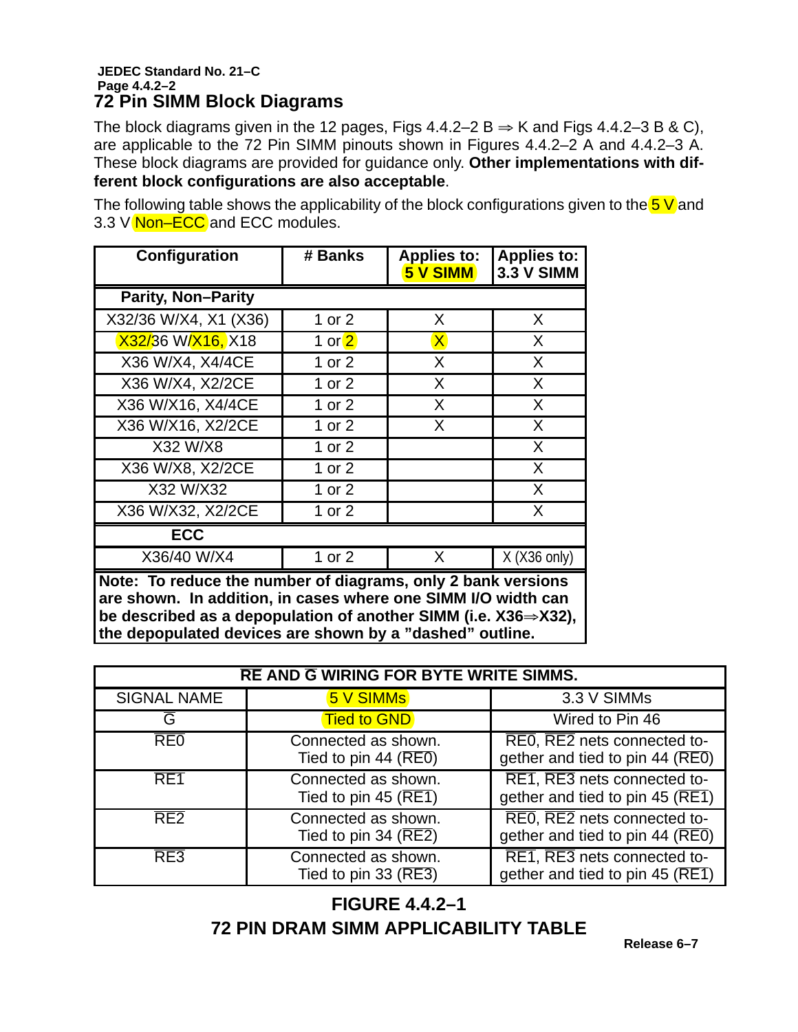## **JEDEC Standard No. 21–C Page 4.4.2–2 72 Pin SIMM Block Diagrams**

The block diagrams given in the 12 pages, Figs 4.4.2–2 B  $\Rightarrow$  K and Figs 4.4.2–3 B & C), are applicable to the 72 Pin SIMM pinouts shown in Figures 4.4.2–2 A and 4.4.2–3 A. These block diagrams are provided for guidance only. **Other implementations with different block configurations are also acceptable**.

The following table shows the applicability of the block configurations given to the  $5 \text{ V}$  and 3.3 V Non-ECC and ECC modules.

| Configuration                                                                                                                                                                                 | # Banks  | <b>Applies to:</b><br>5 V SIMM | <b>Applies to:</b><br><b>3.3 V SIMM</b> |  |  |  |  |  |
|-----------------------------------------------------------------------------------------------------------------------------------------------------------------------------------------------|----------|--------------------------------|-----------------------------------------|--|--|--|--|--|
| <b>Parity, Non-Parity</b>                                                                                                                                                                     |          |                                |                                         |  |  |  |  |  |
| X32/36 W/X4, X1 (X36)                                                                                                                                                                         | 1 or 2   | X                              | X.                                      |  |  |  |  |  |
| X32/36 W/X16, X18                                                                                                                                                                             | 1 or 2   | $\mathsf{X}$                   | X                                       |  |  |  |  |  |
| X36 W/X4, X4/4CE                                                                                                                                                                              | 1 or $2$ | X                              | $\sf X$                                 |  |  |  |  |  |
| X36 W/X4, X2/2CE                                                                                                                                                                              | 1 or $2$ | X                              | $\sf X$                                 |  |  |  |  |  |
| X36 W/X16, X4/4CE                                                                                                                                                                             | 1 or $2$ | X                              | $\sf X$                                 |  |  |  |  |  |
| X36 W/X16, X2/2CE                                                                                                                                                                             | 1 or 2   | X                              | X                                       |  |  |  |  |  |
| X32 W/X8                                                                                                                                                                                      | 1 or $2$ |                                | $\sf X$                                 |  |  |  |  |  |
| X36 W/X8, X2/2CE                                                                                                                                                                              | 1 or $2$ |                                | X                                       |  |  |  |  |  |
| X32 W/X32                                                                                                                                                                                     | 1 or $2$ |                                | $\sf X$                                 |  |  |  |  |  |
| X36 W/X32, X2/2CE                                                                                                                                                                             | 1 or 2   |                                | X.                                      |  |  |  |  |  |
| <b>ECC</b>                                                                                                                                                                                    |          |                                |                                         |  |  |  |  |  |
| X36/40 W/X4                                                                                                                                                                                   | 1 or 2   | X                              | $X$ (X36 only)                          |  |  |  |  |  |
| Note: To reduce the number of diagrams, only 2 bank versions<br>are shown. In addition, in cases where one SIMM I/O width can<br>he described as a denopulation of another SIMM (i.e. $Y39$ ) |          |                                |                                         |  |  |  |  |  |

**be described as a depopulation of another SIMM (i.e. X36X32), the depopulated devices are shown by a "dashed" outline.**

| <b>RE AND G WIRING FOR BYTE WRITE SIMMS.</b> |                                                            |                                                                |  |  |  |  |  |
|----------------------------------------------|------------------------------------------------------------|----------------------------------------------------------------|--|--|--|--|--|
| <b>SIGNAL NAME</b>                           | 5 V SIMMs                                                  | 3.3 V SIMMs                                                    |  |  |  |  |  |
| G                                            | Tied to GND                                                | Wired to Pin 46                                                |  |  |  |  |  |
| REO                                          | Connected as shown.<br>Tied to pin 44 $(REO)$              | RE0, RE2 nets connected to-<br>gether and tied to pin 44 (REO) |  |  |  |  |  |
| RE <sub>1</sub>                              | Connected as shown.<br>Tied to pin 45 ( $\overline{RE1}$ ) | RE1, RE3 nets connected to-<br>gether and tied to pin 45 (RE1) |  |  |  |  |  |
| RE <sub>2</sub>                              | Connected as shown.<br>Tied to pin 34 $(\overline{RE2})$   | REO, RE2 nets connected to-<br>gether and tied to pin 44 (REO) |  |  |  |  |  |
| RE3                                          | Connected as shown.<br>Tied to pin 33 $(RE3)$              | RE1, RE3 nets connected to-<br>gether and tied to pin 45 (RE1) |  |  |  |  |  |

**FIGURE 4.4.2–1 72 PIN DRAM SIMM APPLICABILITY TABLE**

**Release 6–7**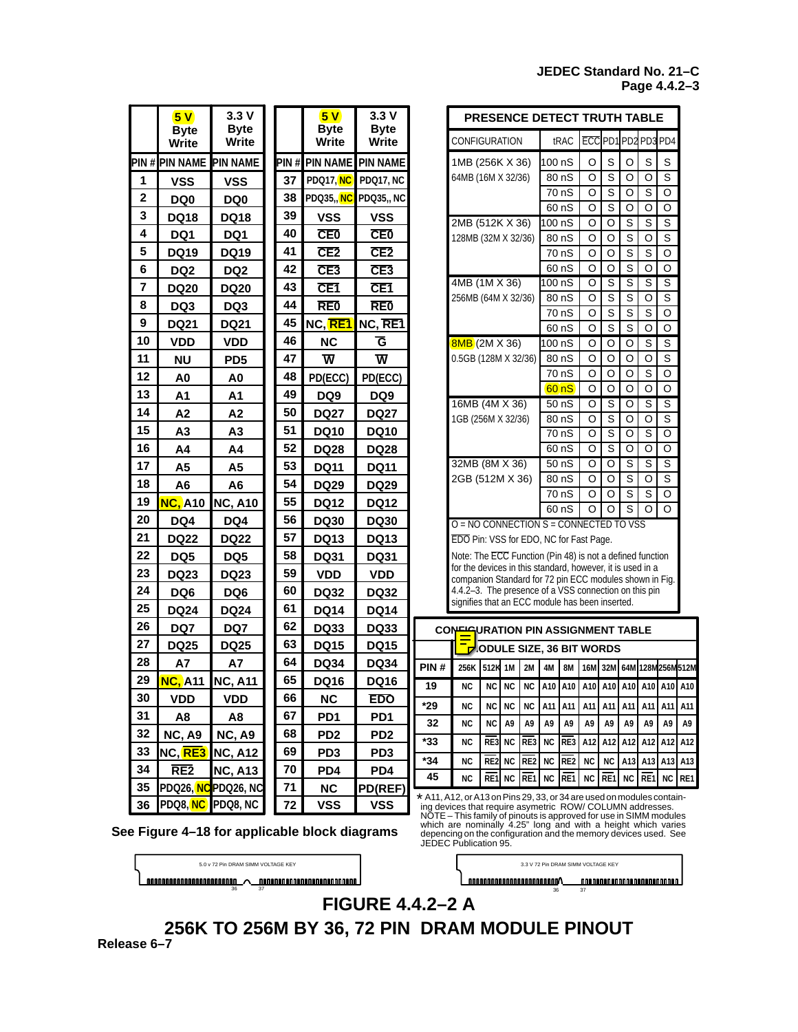## **JEDEC Standard No. 21–C Page 4.4.2–3**

|                | 5V                                          | 3.3V                        |    |    | 5V                             | 3.3V                        |                                                                                                                  | <b>PRESENCE DETECT TRUTH TABLE</b>                                                                                                                                                             |           |                 |                                                                         |                          |                 |                               |                         |                                        |                            |                         |           |
|----------------|---------------------------------------------|-----------------------------|----|----|--------------------------------|-----------------------------|------------------------------------------------------------------------------------------------------------------|------------------------------------------------------------------------------------------------------------------------------------------------------------------------------------------------|-----------|-----------------|-------------------------------------------------------------------------|--------------------------|-----------------|-------------------------------|-------------------------|----------------------------------------|----------------------------|-------------------------|-----------|
|                | <b>Byte</b><br>Write                        | <b>Byte</b><br><b>Write</b> |    |    | <b>Byte</b><br><b>Write</b>    | <b>Byte</b><br><b>Write</b> |                                                                                                                  | CONFIGURATION                                                                                                                                                                                  |           |                 |                                                                         |                          | trac            |                               |                         |                                        | ECCPD1PD2PD3PD4            |                         |           |
|                | PIN # PIN NAME                              | <b>PIN NAME</b>             |    |    | <b>PIN # PIN NAME PIN NAME</b> |                             |                                                                                                                  | 1MB (256K X 36)                                                                                                                                                                                |           |                 |                                                                         | 100 nS                   |                 | O                             | S                       | O                                      | S                          | S                       |           |
| 1              | <b>VSS</b>                                  | <b>VSS</b>                  |    | 37 | PDQ17, NC                      | PDQ17, NC                   |                                                                                                                  | 64MB (16M X 32/36)                                                                                                                                                                             |           |                 |                                                                         |                          | 80 nS           | $\circ$                       | S                       | $\circ$                                | O                          | S                       |           |
| $\mathbf 2$    | DQ <sub>0</sub>                             | DQ <sub>0</sub>             |    | 38 | PDQ35,, NC                     | <b>PDQ35, NC</b>            |                                                                                                                  |                                                                                                                                                                                                |           |                 |                                                                         |                          | 70 nS           | $\circ$                       | $\overline{s}$          | $\circ$                                | $\overline{s}$             | $\circ$                 |           |
| 3              | <b>DQ18</b>                                 | <b>DQ18</b>                 |    | 39 | <b>VSS</b>                     | <b>VSS</b>                  |                                                                                                                  |                                                                                                                                                                                                |           |                 |                                                                         |                          | 60 nS           | $\circ$                       | S                       | O                                      | O                          | $\circ$                 |           |
| 4              | DQ1                                         | DQ1                         |    | 40 | <b>CE0</b>                     | <b>CE0</b>                  |                                                                                                                  | 2MB (512K X 36)                                                                                                                                                                                |           |                 |                                                                         | 100 nS                   |                 | O                             | O                       | S                                      | S                          | S                       |           |
| 5              |                                             | <b>DQ19</b>                 |    | 41 | CE2                            | CE2                         |                                                                                                                  | 128MB (32M X 32/36)                                                                                                                                                                            |           |                 |                                                                         |                          | 80 nS           | O                             | O                       | $\overline{\mathbf{s}}$<br>$\mathbf S$ | O<br>$\mathsf{s}$          | S<br>O                  |           |
|                | <b>DQ19</b>                                 |                             |    | 42 |                                |                             |                                                                                                                  |                                                                                                                                                                                                |           |                 |                                                                         |                          | 70 nS<br>60 nS  | O<br>O                        | O<br>O                  | $\overline{s}$                         | O                          | O                       |           |
| 6              | DQ <sub>2</sub>                             | DQ <sub>2</sub>             |    |    | CE <sub>3</sub>                | CE <sub>3</sub>             |                                                                                                                  | 4MB (1M X 36)                                                                                                                                                                                  |           |                 |                                                                         | 100 nS                   |                 | O                             | S                       | $\overline{s}$                         | S                          | S                       |           |
| $\overline{7}$ | <b>DQ20</b>                                 | <b>DQ20</b>                 |    | 43 | CE <sub>1</sub>                | CE <sub>1</sub>             |                                                                                                                  | 256MB (64M X 32/36)                                                                                                                                                                            |           |                 |                                                                         |                          | 80 nS           | O                             | $\overline{s}$          | $\overline{s}$                         | $\circ$                    | S                       |           |
| 8              | DQ3                                         | DQ3                         |    | 44 | <b>RE0</b>                     | <b>RE0</b>                  |                                                                                                                  |                                                                                                                                                                                                |           |                 |                                                                         |                          | 70 nS           | O                             | S                       | $\mathsf{s}$                           | S                          | $\circ$                 |           |
| 9              | <b>DQ21</b>                                 | <b>DQ21</b>                 |    | 45 | NC, RE1                        | NC, RE1                     |                                                                                                                  |                                                                                                                                                                                                |           |                 |                                                                         |                          | 60 nS           | $\circ$                       | $\overline{s}$          | $\overline{s}$                         | $\circ$                    | $\circ$                 |           |
| 10             | <b>VDD</b>                                  | <b>VDD</b>                  |    | 46 | <b>NC</b>                      | Ğ                           |                                                                                                                  | <b>BMB</b> (2M X 36)                                                                                                                                                                           |           |                 |                                                                         | 100 nS                   |                 | O                             | $\circ$                 | O                                      | S                          | $\overline{s}$          |           |
| 11             | <b>NU</b>                                   | PD <sub>5</sub>             |    | 47 | $\overline{\mathsf{w}}$        | $\overline{\mathsf{w}}$     |                                                                                                                  | 0.5GB (128M X 32/36)                                                                                                                                                                           |           |                 |                                                                         |                          | 80 nS           | O                             | $\circ$                 | O                                      | $\circ$                    | $\overline{\mathbf{s}}$ |           |
| 12             | A <sub>0</sub>                              | A0                          |    | 48 | PD(ECC)                        | PD(ECC)                     |                                                                                                                  |                                                                                                                                                                                                |           |                 |                                                                         | 70 nS                    | $\circ$         | $\circ$                       | $\circ$                 | S                                      | $\circ$                    |                         |           |
| 13             | A <sub>1</sub>                              | A <sub>1</sub>              |    | 49 | DQ <sub>9</sub>                | DQ <sub>9</sub>             |                                                                                                                  |                                                                                                                                                                                                |           |                 |                                                                         |                          | 60 nS           | $\circ$<br>$\overline{\circ}$ | $\circ$<br>ड            | $\circ$<br>$\overline{\circ}$          | $\circ$                    | $\circ$<br>ड            |           |
| 14             | A <sub>2</sub>                              | A <sub>2</sub>              |    | 50 | <b>DQ27</b>                    | <b>DQ27</b>                 |                                                                                                                  | 16MB (4M X 36)<br>1GB (256M X 32/36)                                                                                                                                                           |           |                 |                                                                         | 50 <sub>0</sub><br>80 nS | $\circ$         | $\overline{s}$                | $\circ$                 | $\overline{s}$<br>$\circ$              | $\overline{s}$             |                         |           |
| 15             | А3                                          | A <sub>3</sub>              | 51 |    | <b>DQ10</b>                    | <b>DQ10</b>                 |                                                                                                                  |                                                                                                                                                                                                |           |                 |                                                                         |                          | 70 nS           | O                             | $\overline{s}$          | O                                      | $\overline{s}$             | O                       |           |
| 16             | A4                                          | A4                          |    | 52 | <b>DQ28</b>                    | <b>DQ28</b>                 |                                                                                                                  |                                                                                                                                                                                                |           |                 |                                                                         |                          | 60 nS           | O                             | $\overline{\mathbf{s}}$ | O                                      | $\circ$                    | O                       |           |
| 17             | A <sub>5</sub>                              | A <sub>5</sub>              |    | 53 | <b>DQ11</b>                    | <b>DQ11</b>                 |                                                                                                                  | 32MB (8M X 36)                                                                                                                                                                                 |           |                 |                                                                         |                          | 50 <sub>0</sub> | O                             | O                       | S                                      | S                          | $\overline{\mathsf{s}}$ |           |
| 18             | A6                                          | A <sub>6</sub>              |    | 54 | <b>DQ29</b>                    | <b>DQ29</b>                 |                                                                                                                  | 2GB (512M X 36)                                                                                                                                                                                |           |                 |                                                                         | 80 nS                    | O               | O                             | S                       | O                                      | S                          |                         |           |
| 19             | <b>NC, A10</b>                              | <b>NC, A10</b>              |    | 55 | <b>DQ12</b>                    | <b>DQ12</b>                 |                                                                                                                  |                                                                                                                                                                                                |           |                 |                                                                         | 70 nS                    | O               | O                             | S                       | S                                      | O                          |                         |           |
| 20             | DQ4                                         | DQ4                         |    | 56 | <b>DQ30</b>                    | <b>DQ30</b>                 |                                                                                                                  |                                                                                                                                                                                                |           |                 |                                                                         |                          | 60 nS           | O                             | O                       | $\overline{s}$                         | O                          | O                       |           |
| 21             | <b>DQ22</b>                                 | <b>DQ22</b>                 |    | 57 | <b>DQ13</b>                    | <b>DQ13</b>                 | $O = NO$ CONNECTION S = CONNECTED TO VSS<br>EDO Pin: VSS for EDO, NC for Fast Page.                              |                                                                                                                                                                                                |           |                 |                                                                         |                          |                 |                               |                         |                                        |                            |                         |           |
| 22             | DQ5                                         | DQ5                         |    | 58 | <b>DQ31</b>                    | <b>DQ31</b>                 | Note: The ECC Function (Pin 48) is not a defined function                                                        |                                                                                                                                                                                                |           |                 |                                                                         |                          |                 |                               |                         |                                        |                            |                         |           |
| 23             | <b>DQ23</b>                                 | <b>DQ23</b>                 |    | 59 | <b>VDD</b>                     | <b>VDD</b>                  | for the devices in this standard, however, it is used in a                                                       |                                                                                                                                                                                                |           |                 |                                                                         |                          |                 |                               |                         |                                        |                            |                         |           |
| 24             | DQ6                                         | DQ <sub>6</sub>             |    | 60 | <b>DQ32</b>                    | <b>DQ32</b>                 | companion Standard for 72 pin ECC modules shown in Fig.<br>4.4.2-3. The presence of a VSS connection on this pin |                                                                                                                                                                                                |           |                 |                                                                         |                          |                 |                               |                         |                                        |                            |                         |           |
| 25             | <b>DQ24</b>                                 | <b>DQ24</b>                 |    | 61 | <b>DQ14</b>                    | <b>DQ14</b>                 | signifies that an ECC module has been inserted.                                                                  |                                                                                                                                                                                                |           |                 |                                                                         |                          |                 |                               |                         |                                        |                            |                         |           |
| 26             | DQ7                                         | DQ7                         |    | 62 | <b>DQ33</b>                    | <b>DQ33</b>                 |                                                                                                                  | CONFIGURATION PIN ASSIGNMENT TABLE                                                                                                                                                             |           |                 |                                                                         |                          |                 |                               |                         |                                        |                            |                         |           |
| 27             | <b>DQ25</b>                                 | <b>DQ25</b>                 |    | 63 | <b>DQ15</b>                    | <b>DQ15</b>                 |                                                                                                                  |                                                                                                                                                                                                |           |                 | DODULE SIZE, 36 BIT WORDS                                               |                          |                 |                               |                         |                                        |                            |                         |           |
| 28             | A7                                          | A7                          |    | 64 | <b>DQ34</b>                    | <b>DQ34</b>                 | PIN#                                                                                                             |                                                                                                                                                                                                |           |                 |                                                                         | 4M                       | <b>8M</b>       |                               |                         |                                        |                            |                         |           |
| 29             | NC. A11 NC, A11                             |                             |    | 65 | <b>DQ16</b>                    | <b>DQ16</b>                 | 19                                                                                                               | 256K 512K 1M                                                                                                                                                                                   |           |                 | 2M<br>NC   NC   NC   NC   A10   A10   A10   A10   A10   A10   A10   A10 |                          |                 |                               |                         |                                        | 16M 32M 64M 128M 256M 512M |                         |           |
| 30             | <b>VDD</b>                                  | VDD                         |    | 66 | <b>NC</b>                      | <b>EDO</b>                  |                                                                                                                  |                                                                                                                                                                                                |           |                 |                                                                         |                          |                 |                               |                         |                                        |                            |                         |           |
| 31             | A8                                          | A8                          |    | 67 | PD <sub>1</sub>                | PD <sub>1</sub>             | *29<br>32                                                                                                        | ΝC<br><b>NC</b>                                                                                                                                                                                | <b>NC</b> | ΝC              | ΝC<br>A9                                                                | A11                      | A11             | A11<br>A9                     | A11<br>A9               | A11<br>A9                              | A11                        | A11                     | A11       |
| 32             | <b>NC, A9</b>                               | <b>NC, A9</b>               |    | 68 | PD <sub>2</sub>                | PD <sub>2</sub>             | *33                                                                                                              | <b>NC</b>                                                                                                                                                                                      | ΝC<br>RE3 | A9<br><b>NC</b> | RE3                                                                     | A9<br><b>NC</b>          | A9<br>RE3       | A12                           | A12                     | A12                                    | A9<br>A12                  | A9<br>A12               | A9<br>A12 |
| 33             | NC, RE3 NC, A12                             |                             |    | 69 | PD3                            | PD <sub>3</sub>             | *34                                                                                                              | ΝC                                                                                                                                                                                             | RE2       | <b>NC</b>       | RE <sub>2</sub>                                                         | <b>NC</b>                | RE <sub>2</sub> | <b>NC</b>                     |                         | A13                                    |                            | A13 A13                 | A13       |
| 34             | RE <sub>2</sub>                             | <b>NC, A13</b>              |    | 70 | PD <sub>4</sub>                | PD4                         | 45                                                                                                               | <b>NC</b>                                                                                                                                                                                      | RE1       |                 | RE1                                                                     |                          | RE1             |                               | ΝC<br>RE1               |                                        | RE1                        |                         | RE1       |
| 35             |                                             | PDQ26, NC PDQ26, NC         |    | 71 | <b>NC</b>                      | PD(REF)                     |                                                                                                                  |                                                                                                                                                                                                |           | ΝC              |                                                                         | <b>NC</b>                |                 | <b>NC</b>                     |                         | NC                                     |                            | NC                      |           |
| 36             |                                             | PDQ8, NC PDQ8, NC           |    | 72 | <b>VSS</b>                     | vss                         | * A11, A12, or A13 on Pins 29, 33, or 34 are used on modules contain-                                            | ing devices that require asymetric ROW/COLUMN addresses.<br>NOTE – This family of pinouts is approved for use in SIMM modules<br>which are nominally 4.25" long and with a height which varies |           |                 |                                                                         |                          |                 |                               |                         |                                        |                            |                         |           |
|                | e Figure 4–18 for applicable block diagrams |                             |    |    |                                |                             | depencing on the configuration and the memory devices used. See<br>JEDEC Publication 95.                         |                                                                                                                                                                                                |           |                 |                                                                         |                          |                 |                               |                         |                                        |                            |                         |           |

**See Figure 4–18 for applicable block diagrams**

| 5.0 v 72 Pin DRAM SIMM VOLTAGE KEY |  |                          |  |  |  |  |  |  |  |
|------------------------------------|--|--------------------------|--|--|--|--|--|--|--|
| nnnnnnnnnnnnnnnnnnnn               |  | nnnnnnnnnnnnnnnnnnnnnnnn |  |  |  |  |  |  |  |

5.0 v 72 Pin DRAM SIMM VOLTAGE KEY 3.3 V 72 Pin DRAM SIMM VOLTAGE KEY 

36 37 36 37 **FIGURE 4.4.2–2 A**

**Release 6–7 256K TO 256M BY 36, 72 PIN DRAM MODULE PINOUT**